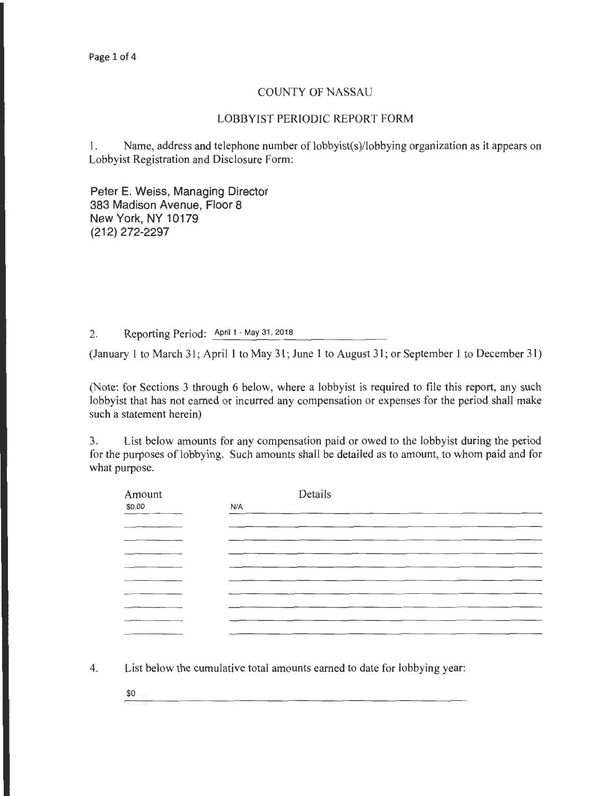## COUNTY OF NASSAU

## LOBBYIST PERIODIC REPORT FORM

1. Name, address and telephone number of lobbyist(s)/lobbying organization as it appears on Lobbyist Registration and Disclosure Form:

Peter E. Weiss, Managing Director 383 Madison Avenue, Floor 8 New York, NY 10179 (212) 272-2297

2. Reporting Period: April 1 - May 31, 2018

(January 1 to March 31; April 1 to May 31; June 1 to August 31; or September 1 to December 31)

(Note: for Sections 3 through 6 below, where a lobbyist is required to file this report, any such lobbyist that has not earned or incurred any compensation or expenses for the period shall make such a statement herein)

3. List below amounts for any compensation paid or owed to the lobbyist during the period for the purposes of lobbying. Such amounts shall be detailed as to amount, to whom paid and for what purpose.

| Amount | Details |
|--------|---------|
| \$0.00 | N/A     |
|        |         |
|        |         |
|        |         |
|        |         |
|        |         |
|        |         |
|        |         |
|        |         |
|        |         |
|        |         |

4. List below the cumulative total amounts earned to date for lobbying year:

\$0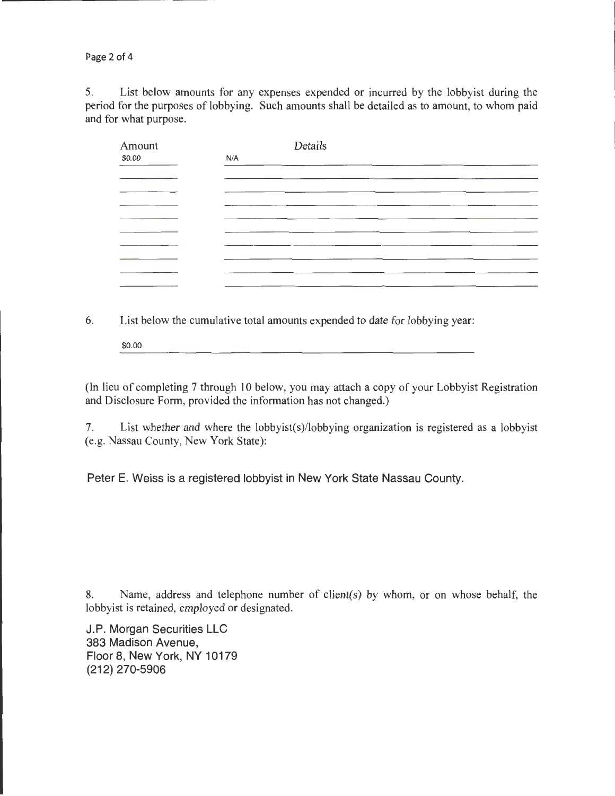Page 2 of 4

5. List below amounts for any expenses expended or incurred by the lobbyist during the period for the purposes of lobbying. Such amounts shall be detailed as to amount, to whom paid and for what purpose.

| Amount |     | Details |  |  |
|--------|-----|---------|--|--|
| \$0.00 | N/A |         |  |  |
|        |     |         |  |  |
|        |     |         |  |  |
|        |     |         |  |  |
|        |     |         |  |  |
|        |     |         |  |  |
|        |     |         |  |  |
|        |     |         |  |  |
|        |     |         |  |  |
|        |     |         |  |  |
|        |     |         |  |  |

6. List below the cumulative total amounts expended to date for lobbying year:

\$0.00

(In lieu of completing 7 through 10 below, you may attach a copy of your Lobbyist Registration and Disclosure Form, provided the information has not changed.)

7. List whether and where the lobbyist(s)/lobbying organization is registered as a lobbyist (e.g. Nassau County, New York State):

Peter E. Weiss is a registered lobbyist in New York State Nassau County.

8. Name, address and telephone number of client(s) by whom, or on whose behalf, the lobbyist is retained, employed or designated.

J.P. Morgan Securities LLC 383 Madison Avenue, Floor 8, New York, NY 10179 (212) 270-5906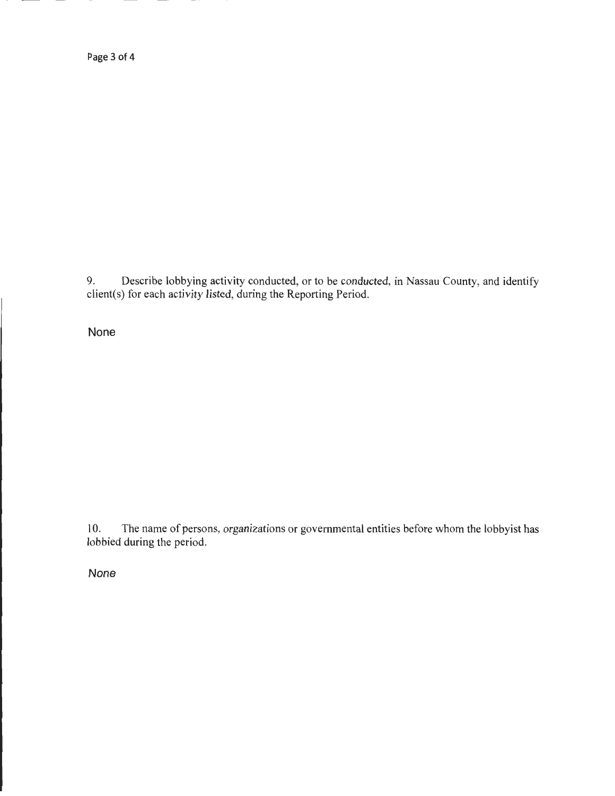9. Describe lobbying activity conducted, or to be conducted, in Nassau County, and identify client(s) for each activity listed, during the Reporting Period.

**None** 

10. The name of persons, organizations or governmental entities before whom the lobbyist has lobbied during the period.

**None**